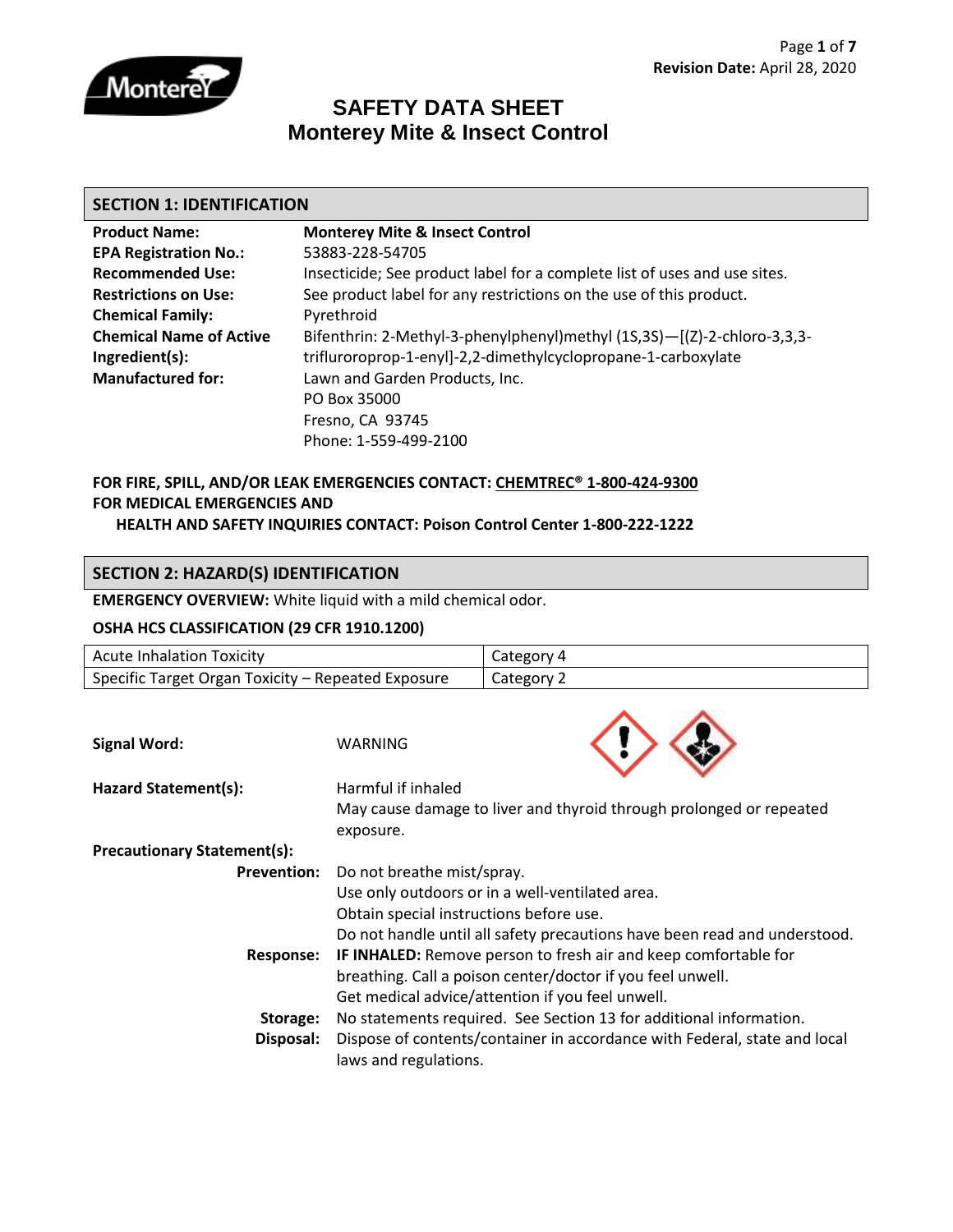

## **SAFETY DATA SHEET Monterey Mite & Insect Control**

#### **SECTION 1: IDENTIFICATION**

| <b>Product Name:</b>           | <b>Monterey Mite &amp; Insect Control</b>                                 |
|--------------------------------|---------------------------------------------------------------------------|
| <b>EPA Registration No.:</b>   | 53883-228-54705                                                           |
| <b>Recommended Use:</b>        | Insecticide; See product label for a complete list of uses and use sites. |
| <b>Restrictions on Use:</b>    | See product label for any restrictions on the use of this product.        |
| <b>Chemical Family:</b>        | Pyrethroid                                                                |
| <b>Chemical Name of Active</b> | Bifenthrin: 2-Methyl-3-phenylphenyl)methyl (1S,3S)-[(Z)-2-chloro-3,3,3-   |
| Ingredient(s):                 | trifluroroprop-1-enyl]-2,2-dimethylcyclopropane-1-carboxylate             |
| <b>Manufactured for:</b>       | Lawn and Garden Products, Inc.                                            |
|                                | PO Box 35000                                                              |
|                                | Fresno, CA 93745                                                          |
|                                | Phone: 1-559-499-2100                                                     |

# **FOR FIRE, SPILL, AND/OR LEAK EMERGENCIES CONTACT: CHEMTREC® 1-800-424-9300 FOR MEDICAL EMERGENCIES AND**

### **HEALTH AND SAFETY INQUIRIES CONTACT: Poison Control Center 1-800-222-1222**

## **SECTION 2: HAZARD(S) IDENTIFICATION**

**EMERGENCY OVERVIEW:** White liquid with a mild chemical odor.

#### **OSHA HCS CLASSIFICATION (29 CFR 1910.1200)**

| <b>Acute Inhalation Toxicity</b>                   |                                                                           | Category 4                                                          |  |
|----------------------------------------------------|---------------------------------------------------------------------------|---------------------------------------------------------------------|--|
| Specific Target Organ Toxicity - Repeated Exposure |                                                                           | Category 2                                                          |  |
|                                                    |                                                                           |                                                                     |  |
|                                                    |                                                                           |                                                                     |  |
| <b>Signal Word:</b>                                | WARNING                                                                   |                                                                     |  |
| Hazard Statement(s):                               | Harmful if inhaled                                                        |                                                                     |  |
|                                                    |                                                                           | May cause damage to liver and thyroid through prolonged or repeated |  |
|                                                    | exposure.                                                                 |                                                                     |  |
| <b>Precautionary Statement(s):</b>                 |                                                                           |                                                                     |  |
| <b>Prevention:</b>                                 | Do not breathe mist/spray.                                                |                                                                     |  |
|                                                    | Use only outdoors or in a well-ventilated area.                           |                                                                     |  |
|                                                    | Obtain special instructions before use.                                   |                                                                     |  |
|                                                    | Do not handle until all safety precautions have been read and understood. |                                                                     |  |
| <b>Response:</b>                                   | <b>IF INHALED:</b> Remove person to fresh air and keep comfortable for    |                                                                     |  |
|                                                    | breathing. Call a poison center/doctor if you feel unwell.                |                                                                     |  |
|                                                    | Get medical advice/attention if you feel unwell.                          |                                                                     |  |
| Storage:                                           | No statements required. See Section 13 for additional information.        |                                                                     |  |
| Disposal:                                          | Dispose of contents/container in accordance with Federal, state and local |                                                                     |  |
|                                                    | laws and regulations.                                                     |                                                                     |  |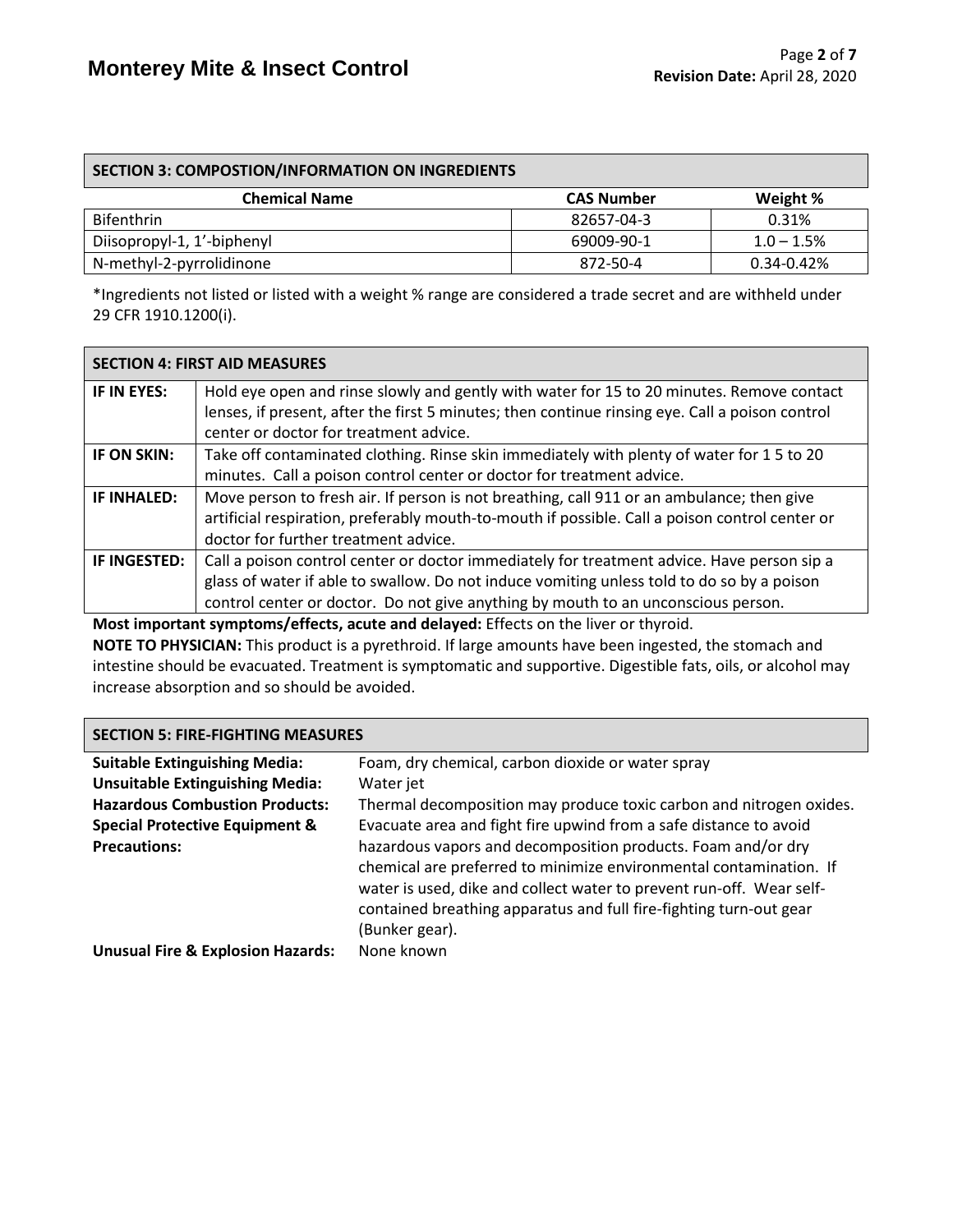| <b>SECTION 3: COMPOSTION/INFORMATION ON INGREDIENTS</b> |                   |              |  |  |
|---------------------------------------------------------|-------------------|--------------|--|--|
| <b>Chemical Name</b>                                    | <b>CAS Number</b> | Weight %     |  |  |
| <b>Bifenthrin</b>                                       | 82657-04-3        | 0.31%        |  |  |
| Diisopropyl-1, 1'-biphenyl                              | 69009-90-1        | $1.0 - 1.5%$ |  |  |
| N-methyl-2-pyrrolidinone<br>$0.34 - 0.42%$<br>872-50-4  |                   |              |  |  |

\*Ingredients not listed or listed with a weight % range are considered a trade secret and are withheld under 29 CFR 1910.1200(i).

|              | <b>SECTION 4: FIRST AID MEASURES</b>                                                                                                                                                         |
|--------------|----------------------------------------------------------------------------------------------------------------------------------------------------------------------------------------------|
| IF IN EYES:  | Hold eye open and rinse slowly and gently with water for 15 to 20 minutes. Remove contact<br>lenses, if present, after the first 5 minutes; then continue rinsing eye. Call a poison control |
|              | center or doctor for treatment advice.                                                                                                                                                       |
| IF ON SKIN:  | Take off contaminated clothing. Rinse skin immediately with plenty of water for 15 to 20                                                                                                     |
|              | minutes. Call a poison control center or doctor for treatment advice.                                                                                                                        |
| IF INHALED:  | Move person to fresh air. If person is not breathing, call 911 or an ambulance; then give                                                                                                    |
|              | artificial respiration, preferably mouth-to-mouth if possible. Call a poison control center or                                                                                               |
|              | doctor for further treatment advice.                                                                                                                                                         |
| IF INGESTED: | Call a poison control center or doctor immediately for treatment advice. Have person sip a                                                                                                   |
|              | glass of water if able to swallow. Do not induce vomiting unless told to do so by a poison                                                                                                   |
|              | control center or doctor. Do not give anything by mouth to an unconscious person.                                                                                                            |

**Most important symptoms/effects, acute and delayed:** Effects on the liver or thyroid.

**NOTE TO PHYSICIAN:** This product is a pyrethroid. If large amounts have been ingested, the stomach and intestine should be evacuated. Treatment is symptomatic and supportive. Digestible fats, oils, or alcohol may increase absorption and so should be avoided.

#### **SECTION 5: FIRE-FIGHTING MEASURES**

| <b>Suitable Extinguishing Media:</b>         | Foam, dry chemical, carbon dioxide or water spray                    |
|----------------------------------------------|----------------------------------------------------------------------|
| <b>Unsuitable Extinguishing Media:</b>       | Water jet                                                            |
| <b>Hazardous Combustion Products:</b>        | Thermal decomposition may produce toxic carbon and nitrogen oxides.  |
| <b>Special Protective Equipment &amp;</b>    | Evacuate area and fight fire upwind from a safe distance to avoid    |
| <b>Precautions:</b>                          | hazardous vapors and decomposition products. Foam and/or dry         |
|                                              | chemical are preferred to minimize environmental contamination. If   |
|                                              | water is used, dike and collect water to prevent run-off. Wear self- |
|                                              | contained breathing apparatus and full fire-fighting turn-out gear   |
|                                              | (Bunker gear).                                                       |
| <b>Unusual Fire &amp; Explosion Hazards:</b> | None known                                                           |
|                                              |                                                                      |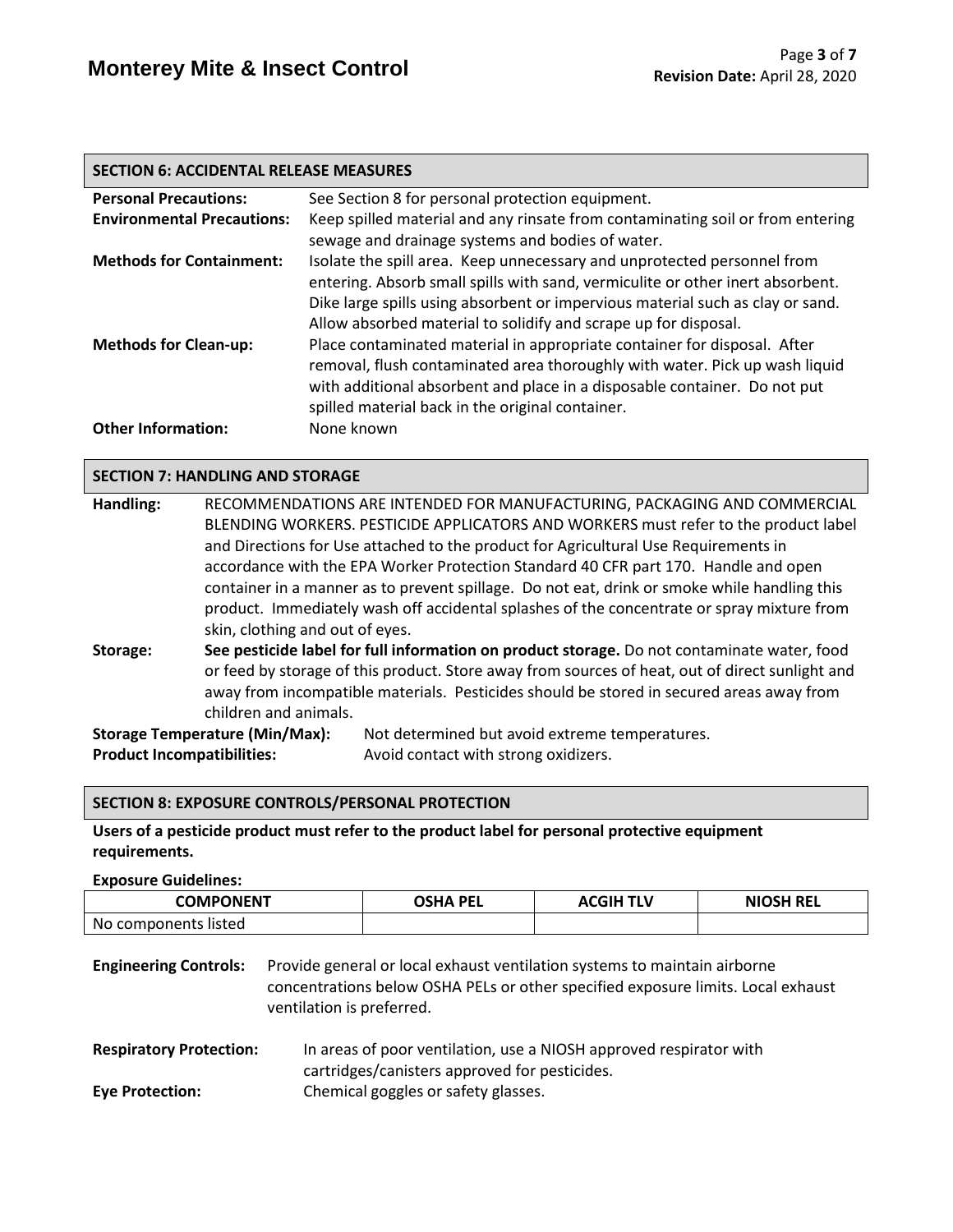#### **SECTION 6: ACCIDENTAL RELEASE MEASURES**

| <b>Personal Precautions:</b>      | See Section 8 for personal protection equipment.                               |
|-----------------------------------|--------------------------------------------------------------------------------|
| <b>Environmental Precautions:</b> | Keep spilled material and any rinsate from contaminating soil or from entering |
|                                   | sewage and drainage systems and bodies of water.                               |
| <b>Methods for Containment:</b>   | Isolate the spill area. Keep unnecessary and unprotected personnel from        |
|                                   | entering. Absorb small spills with sand, vermiculite or other inert absorbent. |
|                                   | Dike large spills using absorbent or impervious material such as clay or sand. |
|                                   | Allow absorbed material to solidify and scrape up for disposal.                |
| <b>Methods for Clean-up:</b>      | Place contaminated material in appropriate container for disposal. After       |
|                                   | removal, flush contaminated area thoroughly with water. Pick up wash liquid    |
|                                   | with additional absorbent and place in a disposable container. Do not put      |
|                                   | spilled material back in the original container.                               |
| <b>Other Information:</b>         | None known                                                                     |

#### **SECTION 7: HANDLING AND STORAGE**

| Handling:                                                                                       | RECOMMENDATIONS ARE INTENDED FOR MANUFACTURING, PACKAGING AND COMMERCIAL                    |                                                                                              |  |  |  |  |
|-------------------------------------------------------------------------------------------------|---------------------------------------------------------------------------------------------|----------------------------------------------------------------------------------------------|--|--|--|--|
|                                                                                                 | BLENDING WORKERS. PESTICIDE APPLICATORS AND WORKERS must refer to the product label         |                                                                                              |  |  |  |  |
|                                                                                                 | and Directions for Use attached to the product for Agricultural Use Requirements in         |                                                                                              |  |  |  |  |
|                                                                                                 |                                                                                             | accordance with the EPA Worker Protection Standard 40 CFR part 170. Handle and open          |  |  |  |  |
|                                                                                                 |                                                                                             | container in a manner as to prevent spillage. Do not eat, drink or smoke while handling this |  |  |  |  |
|                                                                                                 |                                                                                             | product. Immediately wash off accidental splashes of the concentrate or spray mixture from   |  |  |  |  |
|                                                                                                 |                                                                                             | skin, clothing and out of eyes.                                                              |  |  |  |  |
| Storage:                                                                                        | See pesticide label for full information on product storage. Do not contaminate water, food |                                                                                              |  |  |  |  |
| or feed by storage of this product. Store away from sources of heat, out of direct sunlight and |                                                                                             |                                                                                              |  |  |  |  |
| away from incompatible materials. Pesticides should be stored in secured areas away from        |                                                                                             |                                                                                              |  |  |  |  |
|                                                                                                 | children and animals.                                                                       |                                                                                              |  |  |  |  |
| <b>Storage Temperature (Min/Max):</b>                                                           |                                                                                             | Not determined but avoid extreme temperatures.                                               |  |  |  |  |
| <b>Product Incompatibilities:</b><br>Avoid contact with strong oxidizers.                       |                                                                                             |                                                                                              |  |  |  |  |

#### **SECTION 8: EXPOSURE CONTROLS/PERSONAL PROTECTION**

**Users of a pesticide product must refer to the product label for personal protective equipment requirements.**

**Exposure Guidelines:**

| <b>COMPONENT</b>     | OSHA PFI | <b>ACGIH TLV</b> | <b>NIOSH REL</b> |
|----------------------|----------|------------------|------------------|
| No components listed |          |                  |                  |

**Engineering Controls:** Provide general or local exhaust ventilation systems to maintain airborne concentrations below OSHA PELs or other specified exposure limits. Local exhaust ventilation is preferred.

**Respiratory Protection:** In areas of poor ventilation, use a NIOSH approved respirator with cartridges/canisters approved for pesticides. **Eye Protection:** Chemical goggles or safety glasses.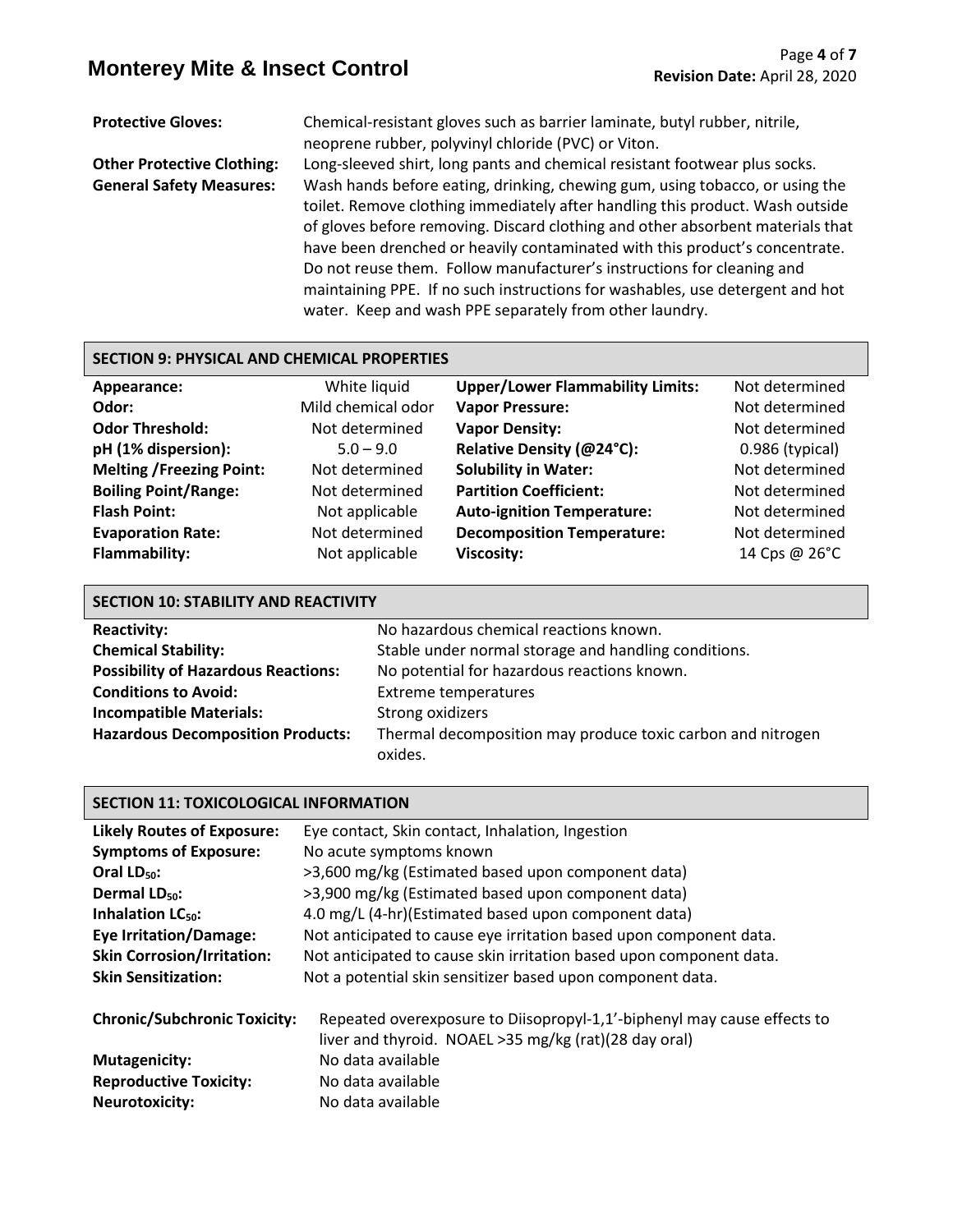# **Monterey Mite & Insect Control** Page 4 of 7<br>**Revision Date: April 28, 2020**

**Protective Gloves:** Chemical-resistant gloves such as barrier laminate, butyl rubber, nitrile, neoprene rubber, polyvinyl chloride (PVC) or Viton.

**Other Protective Clothing:** Long-sleeved shirt, long pants and chemical resistant footwear plus socks. **General Safety Measures:** Wash hands before eating, drinking, chewing gum, using tobacco, or using the toilet. Remove clothing immediately after handling this product. Wash outside of gloves before removing. Discard clothing and other absorbent materials that have been drenched or heavily contaminated with this product's concentrate. Do not reuse them. Follow manufacturer's instructions for cleaning and maintaining PPE. If no such instructions for washables, use detergent and hot water. Keep and wash PPE separately from other laundry.

#### **SECTION 9: PHYSICAL AND CHEMICAL PROPERTIES**

| Appearance:                     | White liquid       | <b>Upper/Lower Flammability Limits:</b> | Not determined    |
|---------------------------------|--------------------|-----------------------------------------|-------------------|
| Odor:                           | Mild chemical odor | <b>Vapor Pressure:</b>                  | Not determined    |
| <b>Odor Threshold:</b>          | Not determined     | <b>Vapor Density:</b>                   | Not determined    |
| pH (1% dispersion):             | $5.0 - 9.0$        | Relative Density (@24°C):               | $0.986$ (typical) |
| <b>Melting /Freezing Point:</b> | Not determined     | <b>Solubility in Water:</b>             | Not determined    |
| <b>Boiling Point/Range:</b>     | Not determined     | <b>Partition Coefficient:</b>           | Not determined    |
| <b>Flash Point:</b>             | Not applicable     | <b>Auto-ignition Temperature:</b>       | Not determined    |
| <b>Evaporation Rate:</b>        | Not determined     | <b>Decomposition Temperature:</b>       | Not determined    |
| <b>Flammability:</b>            | Not applicable     | <b>Viscosity:</b>                       | 14 Cps @ 26°C     |

| <b>SECTION 10: STABILITY AND REACTIVITY</b>                                               |                                                                        |  |  |
|-------------------------------------------------------------------------------------------|------------------------------------------------------------------------|--|--|
| <b>Reactivity:</b>                                                                        | No hazardous chemical reactions known.                                 |  |  |
| <b>Chemical Stability:</b>                                                                | Stable under normal storage and handling conditions.                   |  |  |
| <b>Possibility of Hazardous Reactions:</b><br>No potential for hazardous reactions known. |                                                                        |  |  |
| <b>Conditions to Avoid:</b>                                                               | <b>Extreme temperatures</b>                                            |  |  |
| <b>Incompatible Materials:</b>                                                            | Strong oxidizers                                                       |  |  |
| <b>Hazardous Decomposition Products:</b>                                                  | Thermal decomposition may produce toxic carbon and nitrogen<br>oxides. |  |  |

#### **SECTION 11: TOXICOLOGICAL INFORMATION**

| <b>Likely Routes of Exposure:</b>   | Eye contact, Skin contact, Inhalation, Ingestion                                                                                 |  |  |  |
|-------------------------------------|----------------------------------------------------------------------------------------------------------------------------------|--|--|--|
| <b>Symptoms of Exposure:</b>        | No acute symptoms known                                                                                                          |  |  |  |
| Oral $LD_{50}$ :                    | >3,600 mg/kg (Estimated based upon component data)                                                                               |  |  |  |
| Dermal LD <sub>50</sub> :           | >3,900 mg/kg (Estimated based upon component data)                                                                               |  |  |  |
| Inhalation LC <sub>50</sub> :       | 4.0 mg/L (4-hr)(Estimated based upon component data)                                                                             |  |  |  |
| <b>Eye Irritation/Damage:</b>       | Not anticipated to cause eye irritation based upon component data.                                                               |  |  |  |
| <b>Skin Corrosion/Irritation:</b>   | Not anticipated to cause skin irritation based upon component data.                                                              |  |  |  |
| <b>Skin Sensitization:</b>          | Not a potential skin sensitizer based upon component data.                                                                       |  |  |  |
| <b>Chronic/Subchronic Toxicity:</b> | Repeated overexposure to Diisopropyl-1,1'-biphenyl may cause effects to<br>liver and thyroid. NOAEL >35 mg/kg (rat)(28 day oral) |  |  |  |
| <b>Mutagenicity:</b>                | No data available                                                                                                                |  |  |  |
| <b>Reproductive Toxicity:</b>       | No data available                                                                                                                |  |  |  |
| <b>Neurotoxicity:</b>               | No data available                                                                                                                |  |  |  |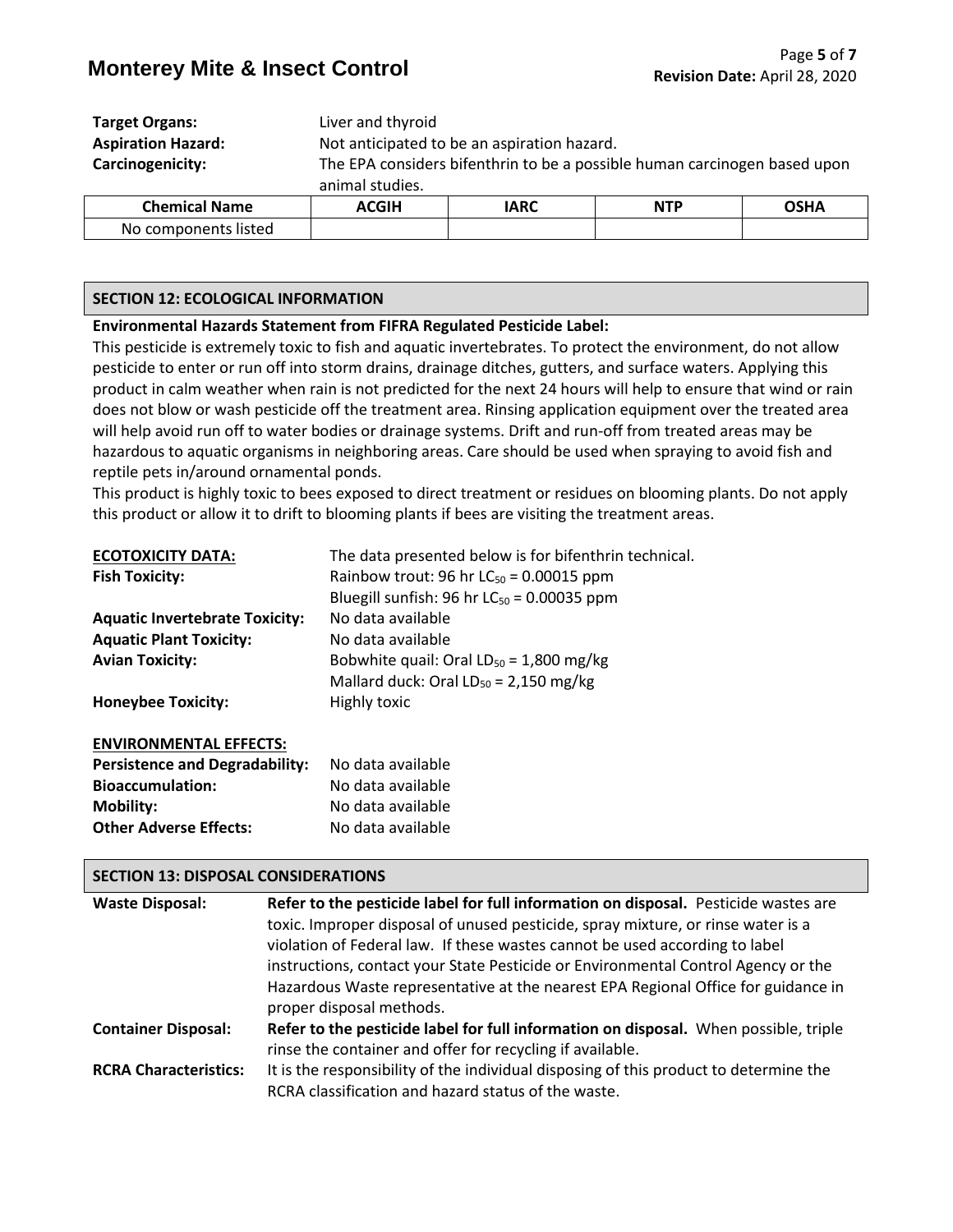| <b>Target Organs:</b>     | Liver and thyroid                                                         |             |            |             |
|---------------------------|---------------------------------------------------------------------------|-------------|------------|-------------|
| <b>Aspiration Hazard:</b> | Not anticipated to be an aspiration hazard.                               |             |            |             |
| Carcinogenicity:          | The EPA considers bifenthrin to be a possible human carcinogen based upon |             |            |             |
|                           | animal studies.                                                           |             |            |             |
| <b>Chemical Name</b>      | <b>ACGIH</b>                                                              | <b>IARC</b> | <b>NTP</b> | <b>OSHA</b> |
| No components listed      |                                                                           |             |            |             |

#### **SECTION 12: ECOLOGICAL INFORMATION**

#### **Environmental Hazards Statement from FIFRA Regulated Pesticide Label:**

This pesticide is extremely toxic to fish and aquatic invertebrates. To protect the environment, do not allow pesticide to enter or run off into storm drains, drainage ditches, gutters, and surface waters. Applying this product in calm weather when rain is not predicted for the next 24 hours will help to ensure that wind or rain does not blow or wash pesticide off the treatment area. Rinsing application equipment over the treated area will help avoid run off to water bodies or drainage systems. Drift and run-off from treated areas may be hazardous to aquatic organisms in neighboring areas. Care should be used when spraying to avoid fish and reptile pets in/around ornamental ponds.

This product is highly toxic to bees exposed to direct treatment or residues on blooming plants. Do not apply this product or allow it to drift to blooming plants if bees are visiting the treatment areas.

| <b>ECOTOXICITY DATA:</b>              | The data presented below is for bifenthrin technical. |
|---------------------------------------|-------------------------------------------------------|
| <b>Fish Toxicity:</b>                 | Rainbow trout: 96 hr $LC_{50}$ = 0.00015 ppm          |
|                                       | Bluegill sunfish: 96 hr $LC_{50} = 0.00035$ ppm       |
| <b>Aquatic Invertebrate Toxicity:</b> | No data available                                     |
| <b>Aquatic Plant Toxicity:</b>        | No data available                                     |
| <b>Avian Toxicity:</b>                | Bobwhite quail: Oral $LD_{50} = 1,800$ mg/kg          |
|                                       | Mallard duck: Oral $LD_{50} = 2,150$ mg/kg            |
| <b>Honeybee Toxicity:</b>             | Highly toxic                                          |
| <b>ENVIRONMENTAL EFFECTS:</b>         |                                                       |

| <b>Persistence and Degradability:</b> | No data available |
|---------------------------------------|-------------------|
| <b>Bioaccumulation:</b>               | No data available |
| <b>Mobility:</b>                      | No data available |
| <b>Other Adverse Effects:</b>         | No data available |

#### **SECTION 13: DISPOSAL CONSIDERATIONS**

| <b>Waste Disposal:</b>       | Refer to the pesticide label for full information on disposal. Pesticide wastes are   |
|------------------------------|---------------------------------------------------------------------------------------|
|                              | toxic. Improper disposal of unused pesticide, spray mixture, or rinse water is a      |
|                              | violation of Federal law. If these wastes cannot be used according to label           |
|                              | instructions, contact your State Pesticide or Environmental Control Agency or the     |
|                              | Hazardous Waste representative at the nearest EPA Regional Office for guidance in     |
|                              | proper disposal methods.                                                              |
| <b>Container Disposal:</b>   | Refer to the pesticide label for full information on disposal. When possible, triple  |
|                              | rinse the container and offer for recycling if available.                             |
| <b>RCRA Characteristics:</b> | It is the responsibility of the individual disposing of this product to determine the |
|                              | RCRA classification and hazard status of the waste.                                   |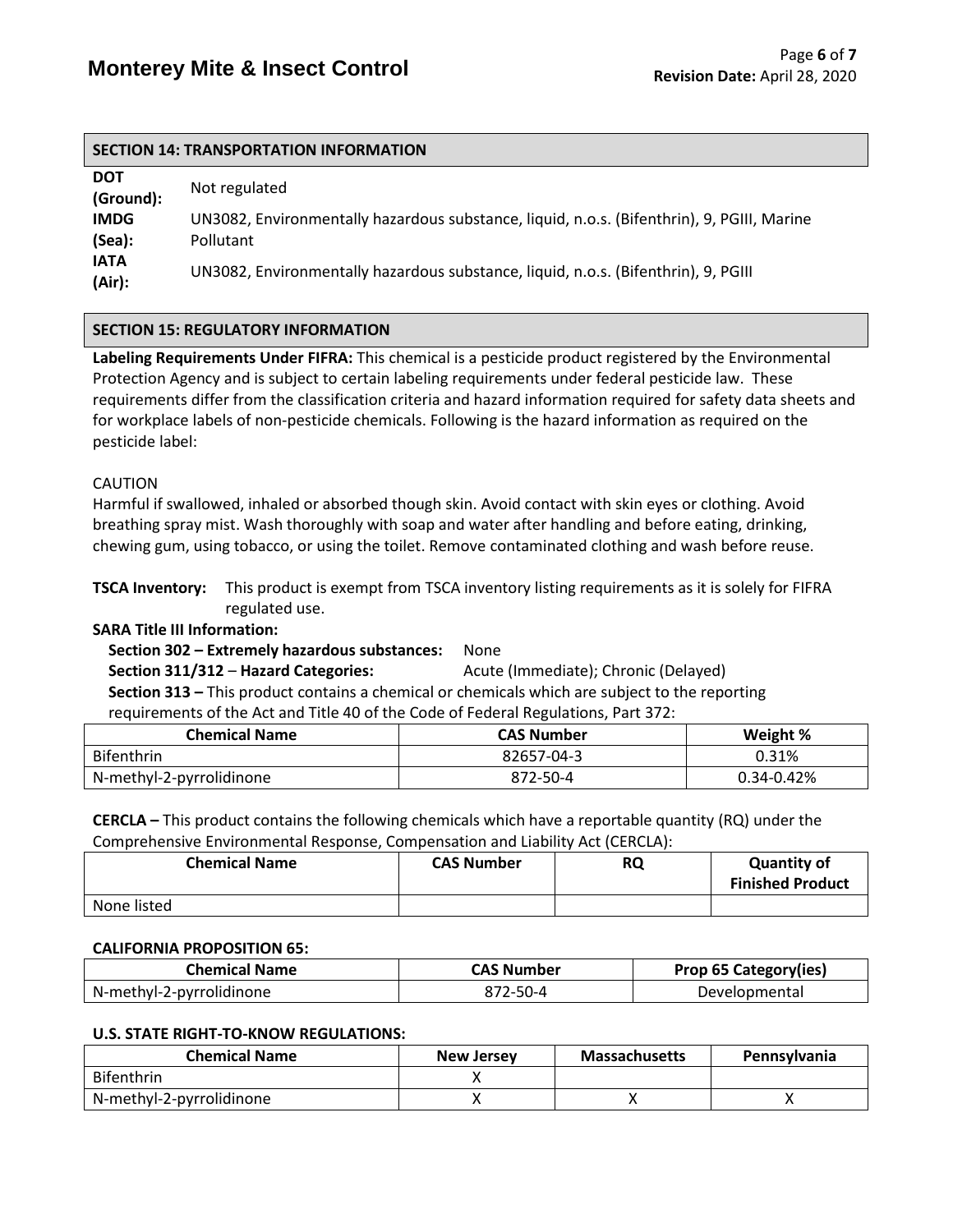#### **SECTION 14: TRANSPORTATION INFORMATION**

| <b>DOT</b><br>(Ground): | Not regulated                                                                                           |
|-------------------------|---------------------------------------------------------------------------------------------------------|
| <b>IMDG</b><br>(Sea):   | UN3082, Environmentally hazardous substance, liquid, n.o.s. (Bifenthrin), 9, PGIII, Marine<br>Pollutant |
| <b>IATA</b><br>(Air):   | UN3082, Environmentally hazardous substance, liquid, n.o.s. (Bifenthrin), 9, PGIII                      |

#### **SECTION 15: REGULATORY INFORMATION**

**Labeling Requirements Under FIFRA:** This chemical is a pesticide product registered by the Environmental Protection Agency and is subject to certain labeling requirements under federal pesticide law. These requirements differ from the classification criteria and hazard information required for safety data sheets and for workplace labels of non-pesticide chemicals. Following is the hazard information as required on the pesticide label:

#### CAUTION

Harmful if swallowed, inhaled or absorbed though skin. Avoid contact with skin eyes or clothing. Avoid breathing spray mist. Wash thoroughly with soap and water after handling and before eating, drinking, chewing gum, using tobacco, or using the toilet. Remove contaminated clothing and wash before reuse.

**TSCA Inventory:** This product is exempt from TSCA inventory listing requirements as it is solely for FIFRA regulated use.

#### **SARA Title III Information:**

 **Section 302 – Extremely hazardous substances:** None  **Section 311/312** – **Hazard Categories:** Acute (Immediate); Chronic (Delayed)  **Section 313 –** This product contains a chemical or chemicals which are subject to the reporting requirements of the Act and Title 40 of the Code of Federal Regulations, Part 372:

| <b>Chemical Name</b>     | <b>CAS Number</b> | Weight %   |
|--------------------------|-------------------|------------|
| <b>Bifenthrin</b>        | 82657-04-3        | 0.31%      |
| N-methyl-2-pyrrolidinone | 872-50-4          | 0.34-0.42% |

**CERCLA –** This product contains the following chemicals which have a reportable quantity (RQ) under the Comprehensive Environmental Response, Compensation and Liability Act (CERCLA):

| <b>Chemical Name</b> | <b>CAS Number</b> | <b>RQ</b> | <b>Quantity of</b><br><b>Finished Product</b> |
|----------------------|-------------------|-----------|-----------------------------------------------|
| None listed          |                   |           |                                               |

#### **CALIFORNIA PROPOSITION 65:**

| Chemical Name            | <b>CAS Number</b> | <b>Prop 65 Category(ies)</b> |
|--------------------------|-------------------|------------------------------|
| N-methyl-2-pyrrolidinone | 872-50-4          | Developmental                |

#### **U.S. STATE RIGHT-TO-KNOW REGULATIONS:**

| <b>Chemical Name</b>     | <b>New Jersey</b> | <b>Massachusetts</b> | <b>Pennsylvania</b> |
|--------------------------|-------------------|----------------------|---------------------|
| <b>Bifenthrin</b>        |                   |                      |                     |
| N-methyl-2-pyrrolidinone |                   |                      |                     |